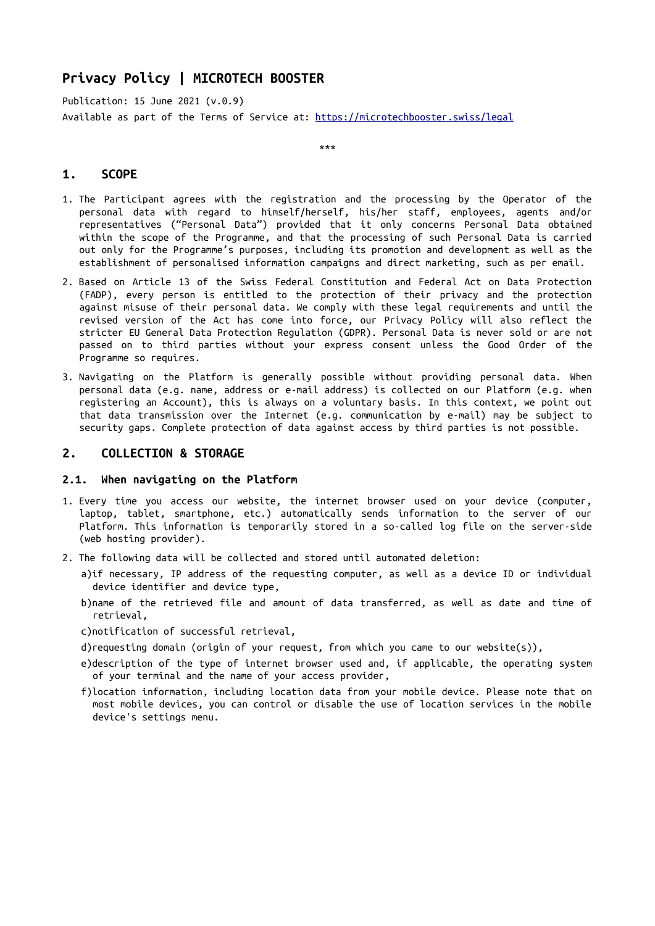# **Privacy Policy | MICROTECH BOOSTER**

Publication: 15 June 2021 (v.0.9) Available as part of the Terms of Service at: <https://microtechbooster.swiss/legal>

\*\*\*

# **1. SCOPE**

- 1. The Participant agrees with the registration and the processing by the Operator of the personal data with regard to himself/herself, his/her staff, employees, agents and/or representatives ("Personal Data") provided that it only concerns Personal Data obtained within the scope of the Programme, and that the processing of such Personal Data is carried out only for the Programme's purposes, including its promotion and development as well as the establishment of personalised information campaigns and direct marketing, such as per email.
- 2. Based on Article 13 of the Swiss Federal Constitution and Federal Act on Data Protection (FADP), every person is entitled to the protection of their privacy and the protection against misuse of their personal data. We comply with these legal requirements and until the revised version of the Act has come into force, our Privacy Policy will also reflect the stricter EU General Data Protection Regulation (GDPR). Personal Data is never sold or are not passed on to third parties without your express consent unless the Good Order of the Programme so requires.
- 3. Navigating on the Platform is generally possible without providing personal data. When personal data (e.g. name, address or e-mail address) is collected on our Platform (e.g. when registering an Account), this is always on a voluntary basis. In this context, we point out that data transmission over the Internet (e.g. communication by e-mail) may be subject to security gaps. Complete protection of data against access by third parties is not possible.

## **2. COLLECTION & STORAGE**

### **2.1. When navigating on the Platform**

- 1. Every time you access our website, the internet browser used on your device (computer, laptop, tablet, smartphone, etc.) automatically sends information to the server of our Platform. This information is temporarily stored in a so-called log file on the server-side (web hosting provider).
- 2. The following data will be collected and stored until automated deletion:
	- a)if necessary, IP address of the requesting computer, as well as a device ID or individual device identifier and device type,
	- b)name of the retrieved file and amount of data transferred, as well as date and time of retrieval,
	- c)notification of successful retrieval,
	- d)requesting domain (origin of your request, from which you came to our website(s)),
	- e)description of the type of internet browser used and, if applicable, the operating system of your terminal and the name of your access provider,
	- f)location information, including location data from your mobile device. Please note that on most mobile devices, you can control or disable the use of location services in the mobile device's settings menu.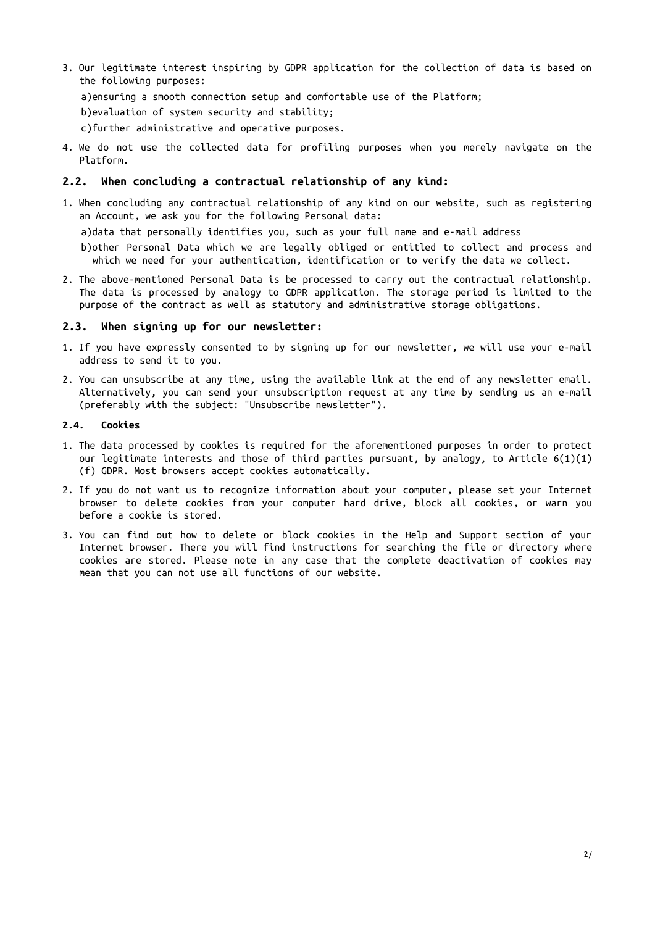3. Our legitimate interest inspiring by GDPR application for the collection of data is based on the following purposes:

a)ensuring a smooth connection setup and comfortable use of the Platform;

b)evaluation of system security and stability;

c)further administrative and operative purposes.

4. We do not use the collected data for profiling purposes when you merely navigate on the Platform.

### **2.2. When concluding a contractual relationship of any kind:**

1. When concluding any contractual relationship of any kind on our website, such as registering an Account, we ask you for the following Personal data:

a)data that personally identifies you, such as your full name and e-mail address

b)other Personal Data which we are legally obliged or entitled to collect and process and which we need for your authentication, identification or to verify the data we collect.

2. The above-mentioned Personal Data is be processed to carry out the contractual relationship. The data is processed by analogy to GDPR application. The storage period is limited to the purpose of the contract as well as statutory and administrative storage obligations.

#### **2.3. When signing up for our newsletter:**

- 1. If you have expressly consented to by signing up for our newsletter, we will use your e-mail address to send it to you.
- 2. You can unsubscribe at any time, using the available link at the end of any newsletter email. Alternatively, you can send your unsubscription request at any time by sending us an e-mail (preferably with the subject: "Unsubscribe newsletter").

#### **2.4. Cookies**

- 1. The data processed by cookies is required for the aforementioned purposes in order to protect our legitimate interests and those of third parties pursuant, by analogy, to Article  $6(1)(1)$ (f) GDPR. Most browsers accept cookies automatically.
- 2. If you do not want us to recognize information about your computer, please set your Internet browser to delete cookies from your computer hard drive, block all cookies, or warn you before a cookie is stored.
- 3. You can find out how to delete or block cookies in the Help and Support section of your Internet browser. There you will find instructions for searching the file or directory where cookies are stored. Please note in any case that the complete deactivation of cookies may mean that you can not use all functions of our website.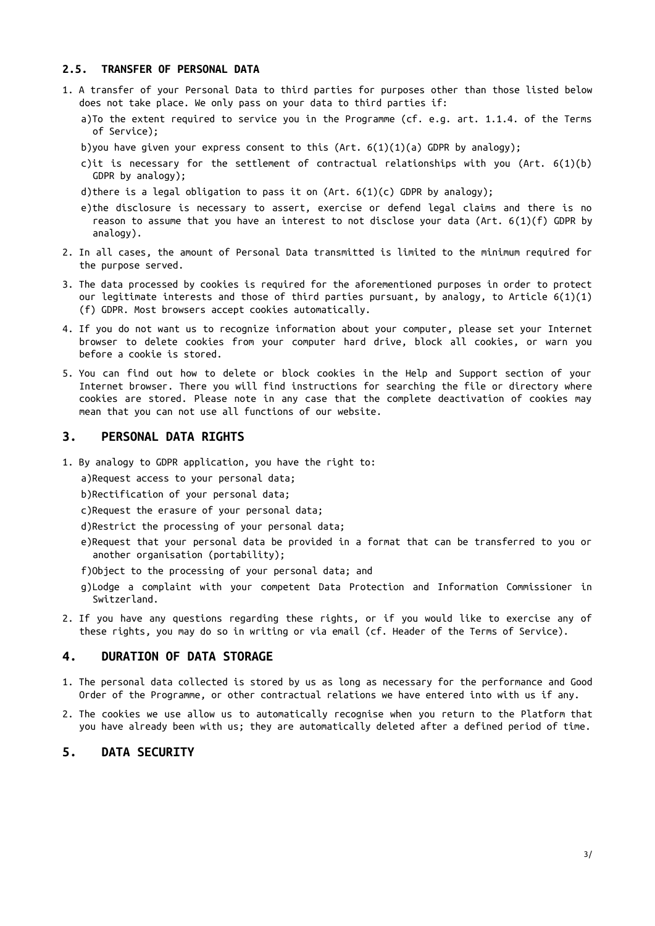### **2.5. TRANSFER OF PERSONAL DATA**

- 1. A transfer of your Personal Data to third parties for purposes other than those listed below does not take place. We only pass on your data to third parties if:
	- a)To the extent required to service you in the Programme (cf. e.g. art. 1.1.4. of the Terms of Service);
	- b)you have given your express consent to this  $(Art. 6(1)(1)(a)$  GDPR by analogy);
	- c)it is necessary for the settlement of contractual relationships with you (Art. 6(1)(b) GDPR by analogy);
	- d)there is a legal obligation to pass it on  $(Art. 6(1)(c)$  GDPR by analogy);
	- e)the disclosure is necessary to assert, exercise or defend legal claims and there is no reason to assume that you have an interest to not disclose your data (Art. 6(1)(f) GDPR by analogy).
- 2. In all cases, the amount of Personal Data transmitted is limited to the minimum required for the purpose served.
- 3. The data processed by cookies is required for the aforementioned purposes in order to protect our legitimate interests and those of third parties pursuant, by analogy, to Article 6(1)(1) (f) GDPR. Most browsers accept cookies automatically.
- 4. If you do not want us to recognize information about your computer, please set your Internet browser to delete cookies from your computer hard drive, block all cookies, or warn you before a cookie is stored.
- 5. You can find out how to delete or block cookies in the Help and Support section of your Internet browser. There you will find instructions for searching the file or directory where cookies are stored. Please note in any case that the complete deactivation of cookies may mean that you can not use all functions of our website.

#### **3. PERSONAL DATA RIGHTS**

1. By analogy to GDPR application, you have the right to:

a)Request access to your personal data;

b)Rectification of your personal data;

- c)Request the erasure of your personal data;
- d)Restrict the processing of your personal data;
- e)Request that your personal data be provided in a format that can be transferred to you or another organisation (portability);
- f)Object to the processing of your personal data; and
- g)Lodge a complaint with your competent Data Protection and Information Commissioner in Switzerland.
- 2. If you have any questions regarding these rights, or if you would like to exercise any of these rights, you may do so in writing or via email (cf. Header of the Terms of Service).

#### **4. DURATION OF DATA STORAGE**

- 1. The personal data collected is stored by us as long as necessary for the performance and Good Order of the Programme, or other contractual relations we have entered into with us if any.
- 2. The cookies we use allow us to automatically recognise when you return to the Platform that you have already been with us; they are automatically deleted after a defined period of time.

# **5. DATA SECURITY**